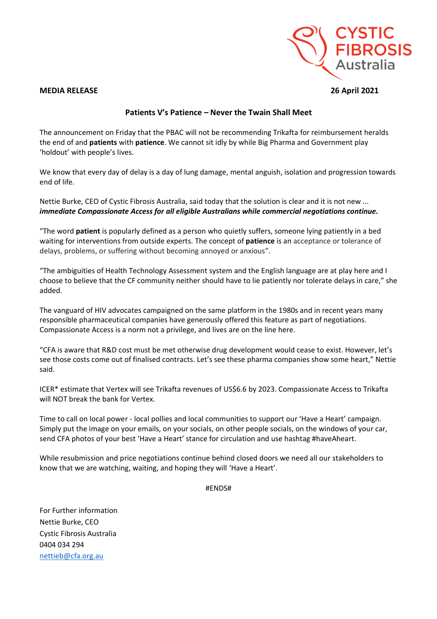

## **MEDIA RELEASE 26 April 2021**

## **Patients V's Patience – Never the Twain Shall Meet**

The announcement on Friday that the PBAC will not be recommending Trikafta for reimbursement heralds the end of and **patients** with **patience**. We cannot sit idly by while Big Pharma and Government play 'holdout' with people's lives.

We know that every day of delay is a day of lung damage, mental anguish, isolation and progression towards end of life.

Nettie Burke, CEO of Cystic Fibrosis Australia, said today that the solution is clear and it is not new ... *immediate Compassionate Access for all eligible Australians while commercial negotiations continue.* 

"The word **patient** is popularly defined as a person who quietly suffers, someone lying patiently in a bed waiting for interventions from outside experts. The concept of **patience** is an acceptance or tolerance of delays, problems, or suffering without becoming annoyed or anxious".

"The ambiguities of Health Technology Assessment system and the English language are at play here and I choose to believe that the CF community neither should have to lie patiently nor tolerate delays in care," she added.

The vanguard of HIV advocates campaigned on the same platform in the 1980s and in recent years many responsible pharmaceutical companies have generously offered this feature as part of negotiations. Compassionate Access is a norm not a privilege, and lives are on the line here.

"CFA is aware that R&D cost must be met otherwise drug development would cease to exist. However, let's see those costs come out of finalised contracts. Let's see these pharma companies show some heart," Nettie said.

ICER\* estimate that Vertex will see Trikafta revenues of US\$6.6 by 2023. Compassionate Access to Trikafta will NOT break the bank for Vertex.

Time to call on local power - local pollies and local communities to support our 'Have a Heart' campaign. Simply put the image on your emails, on your socials, on other people socials, on the windows of your car, send CFA photos of your best 'Have a Heart' stance for circulation and use hashtag #haveAheart.

While resubmission and price negotiations continue behind closed doors we need all our stakeholders to know that we are watching, waiting, and hoping they will 'Have a Heart'.

#ENDS#

For Further information Nettie Burke, CEO Cystic Fibrosis Australia 0404 034 294 [nettieb@cfa.org.au](mailto:nettieb@cfa.org.au)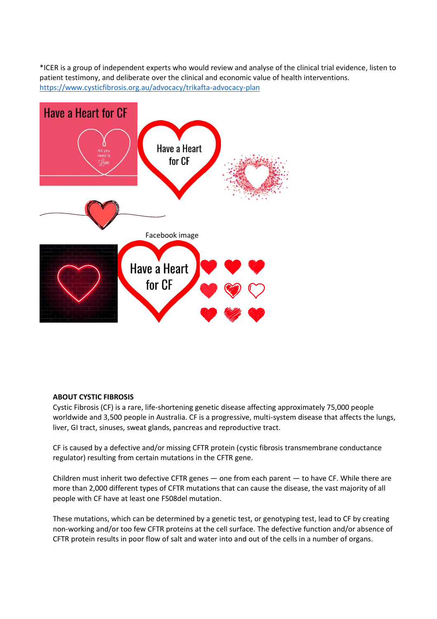\*ICER is a group of independent experts who would review and analyse of the clinical trial evidence, listen to patient testimony, and deliberate over the clinical and economic value of health interventions. <https://www.cysticfibrosis.org.au/advocacy/trikafta-advocacy-plan>



## **ABOUT CYSTIC FIBROSIS**

Cystic Fibrosis (CF) is a rare, life-shortening genetic disease affecting approximately 75,000 people worldwide and 3,500 people in Australia. CF is a progressive, multi-system disease that affects the lungs, liver, GI tract, sinuses, sweat glands, pancreas and reproductive tract.

CF is caused by a defective and/or missing CFTR protein (cystic fibrosis transmembrane conductance regulator) resulting from certain mutations in the CFTR gene.

Children must inherit two defective CFTR genes — one from each parent — to have CF. While there are more than 2,000 different types of CFTR mutations that can cause the disease, the vast majority of all people with CF have at least one F508del mutation.

These mutations, which can be determined by a genetic test, or genotyping test, lead to CF by creating non-working and/or too few CFTR proteins at the cell surface. The defective function and/or absence of CFTR protein results in poor flow of salt and water into and out of the cells in a number of organs.